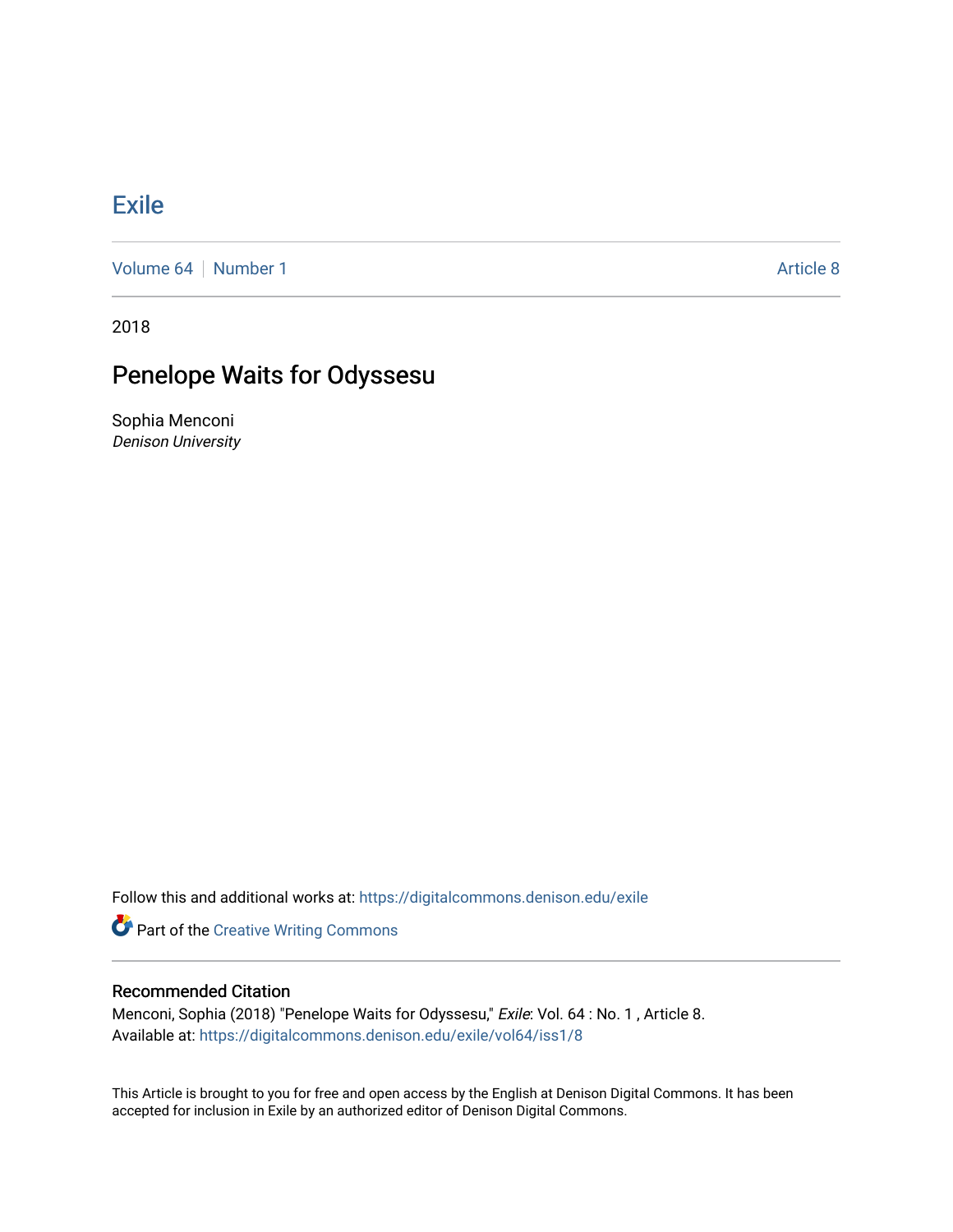## **[Exile](https://digitalcommons.denison.edu/exile)**

[Volume 64](https://digitalcommons.denison.edu/exile/vol64) [Number 1](https://digitalcommons.denison.edu/exile/vol64/iss1) Article 8

2018

## Penelope Waits for Odyssesu

Sophia Menconi Denison University

Follow this and additional works at: [https://digitalcommons.denison.edu/exile](https://digitalcommons.denison.edu/exile?utm_source=digitalcommons.denison.edu%2Fexile%2Fvol64%2Fiss1%2F8&utm_medium=PDF&utm_campaign=PDFCoverPages) 

**Part of the Creative Writing Commons** 

## Recommended Citation

Menconi, Sophia (2018) "Penelope Waits for Odyssesu," Exile: Vol. 64 : No. 1 , Article 8. Available at: [https://digitalcommons.denison.edu/exile/vol64/iss1/8](https://digitalcommons.denison.edu/exile/vol64/iss1/8?utm_source=digitalcommons.denison.edu%2Fexile%2Fvol64%2Fiss1%2F8&utm_medium=PDF&utm_campaign=PDFCoverPages) 

This Article is brought to you for free and open access by the English at Denison Digital Commons. It has been accepted for inclusion in Exile by an authorized editor of Denison Digital Commons.